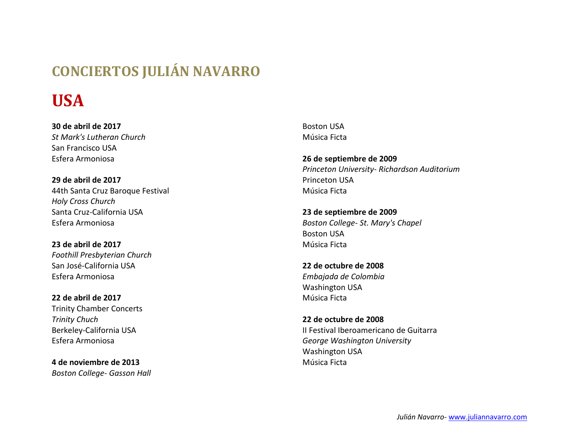## **CONCIERTOS JULIÁN NAVARRO**

## **USA**

**30 de abril de 2017** *St Mark's Lutheran Church* San Francisco USA Esfera Armoniosa

**29 de abril de 2017** 44th Santa Cruz Baroque Festival *Holy Cross Church* Santa Cruz-California USA Esfera Armoniosa

**23 de abril de 2017** *Foothill Presbyterian Church* San José-California USA Esfera Armoniosa

**22 de abril de 2017** Trinity Chamber Concerts *Trinity Chuch* Berkeley-California USA Esfera Armoniosa

**4 de noviembre de 2013** *Boston College- Gasson Hall* Boston USA Música Ficta

**26 de septiembre de 2009**  *Princeton University- Richardson Auditorium*  Princeton USA Música Ficta

**23 de septiembre de 2009**  *Boston College- St. Mary's Chapel*  Boston USA Música Ficta

**22 de octubre de 2008**  *Embajada de Colombia*  Washington USA Música Ficta

**22 de octubre de 2008**  II Festival Iberoamericano de Guitarra *George Washington University*  Washington USA Música Ficta